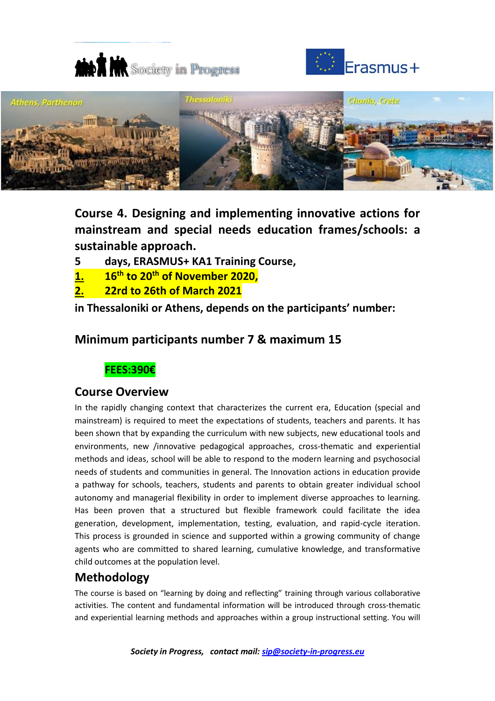





**Course 4. Designing and implementing innovative actions for mainstream and special needs education frames/schools: a sustainable approach.**

- **5 days, ERASMUS+ KA1 Training Course,**
- **1. 16th to 20th of November 2020,**
- **2. 22rd to 26th of March 2021**

**in Thessaloniki or Athens, depends on the participants' number:** 

## **Minimum participants number 7 & maximum 15**

## **FEES:390€**

#### **Course Overview**

In the rapidly changing context that characterizes the current era, Education (special and mainstream) is required to meet the expectations of students, teachers and parents. It has been shown that by expanding the curriculum with new subjects, new educational tools and environments, new /innovative pedagogical approaches, cross-thematic and experiential methods and ideas, school will be able to respond to the modern learning and psychosocial needs of students and communities in general. The Innovation actions in education provide a pathway for schools, teachers, students and parents to obtain greater individual school autonomy and managerial flexibility in order to implement diverse approaches to learning. Has been proven that a structured but flexible framework could facilitate the idea generation, development, implementation, testing, evaluation, and rapid-cycle iteration. This process is grounded in science and supported within a growing community of change agents who are committed to shared learning, cumulative knowledge, and transformative child outcomes at the population level.

# **Methodology**

The course is based on "learning by doing and reflecting" training through various collaborative activities. The content and fundamental information will be introduced through cross-thematic and experiential learning methods and approaches within a group instructional setting. You will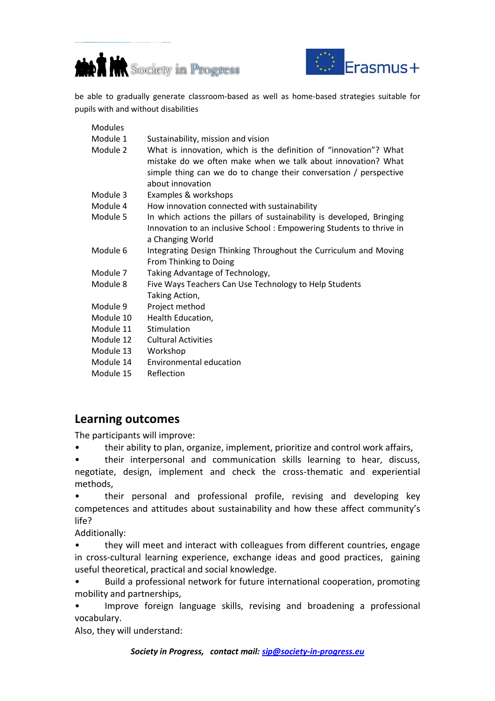



be able to gradually generate classroom-based as well as home-based strategies suitable for pupils with and without disabilities

Modules Module 1 Sustainability, mission and vision Module 2 What is innovation, which is the definition of "innovation"? What mistake do we often make when we talk about innovation? What simple thing can we do to change their conversation / perspective about innovation Module 3 Examples & workshops Module 4 How innovation connected with sustainability Module 5 In which actions the pillars of sustainability is developed, Bringing Innovation to an inclusive School : Empowering Students to thrive in a Changing World Module 6 Integrating Design Thinking Throughout the Curriculum and Moving From Thinking to Doing Module 7 Taking Advantage of Technology, Module 8 Five Ways Teachers Can Use Technology to Help Students Taking Action, Module 9 Project method Module 10 Health Education. Module 11 Stimulation Module 12 Cultural Activities Module 13 Workshop Module 14 Environmental education Module 15 Reflection

## **Learning outcomes**

The participants will improve:

- their ability to plan, organize, implement, prioritize and control work affairs,
- their interpersonal and communication skills learning to hear, discuss, negotiate, design, implement and check the cross-thematic and experiential methods,

• their personal and professional profile, revising and developing key competences and attitudes about sustainability and how these affect community's life?

Additionally:

• they will meet and interact with colleagues from different countries, engage in cross-cultural learning experience, exchange ideas and good practices, gaining useful theoretical, practical and social knowledge.

• Build a professional network for future international cooperation, promoting mobility and partnerships,

Improve foreign language skills, revising and broadening a professional vocabulary.

Also, they will understand: